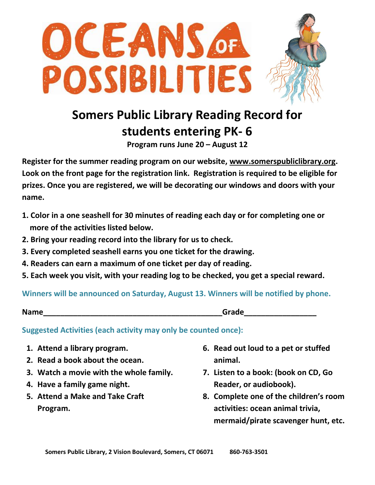

## **Somers Public Library Reading Record for students entering PK- 6**

**Program runs June 20 – August 12**

**Register for the summer reading program on our website, [www.somerspubliclibrary.org.](http://www.somerspubliclibrary.org/) Look on the front page for the registration link. Registration is required to be eligible for prizes. Once you are registered, we will be decorating our windows and doors with your name.** 

- **1. Color in a one seashell for 30 minutes of reading each day or for completing one or more of the activities listed below.**
- **2. Bring your reading record into the library for us to check.**
- **3. Every completed seashell earns you one ticket for the drawing.**
- **4. Readers can earn a maximum of one ticket per day of reading.**
- **5. Each week you visit, with your reading log to be checked, you get a special reward.**

**Winners will be announced on Saturday, August 13. Winners will be notified by phone.** 

**Name Name** *notation* **<b>***notation notation* **<b>***Grade Grade* 

**Suggested Activities (each activity may only be counted once):**

- **1. Attend a library program.**
- **2. Read a book about the ocean.**
- **3. Watch a movie with the whole family.**
- **4. Have a family game night.**
- **5. Attend a Make and Take Craft Program.**
- **6. Read out loud to a pet or stuffed animal.**
- **7. Listen to a book: (book on CD, Go Reader, or audiobook).**
- **8. Complete one of the children's room activities: ocean animal trivia, mermaid/pirate scavenger hunt, etc.**